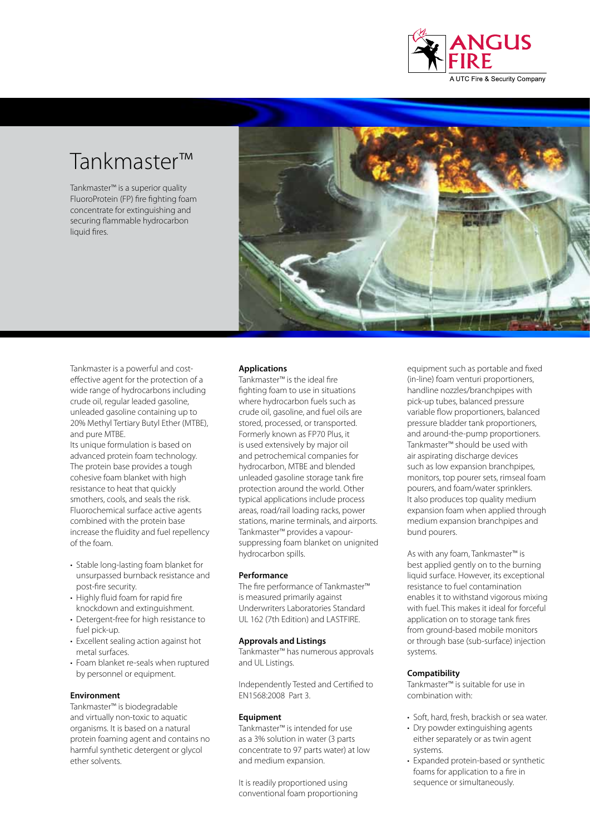

# Tankmaster™

Tankmaster™ is a superior quality FluoroProtein (FP) fire fighting foam concentrate for extinguishing and securing flammable hydrocarbon liquid fires.



Tankmaster is a powerful and costeffective agent for the protection of a wide range of hydrocarbons including crude oil, regular leaded gasoline, unleaded gasoline containing up to 20% Methyl Tertiary Butyl Ether (MTBE), and pure MTBE.

Its unique formulation is based on advanced protein foam technology. The protein base provides a tough cohesive foam blanket with high resistance to heat that quickly smothers, cools, and seals the risk. Fluorochemical surface active agents combined with the protein base increase the fluidity and fuel repellency of the foam.

- Stable long-lasting foam blanket for unsurpassed burnback resistance and post-fire security.
- Highly fluid foam for rapid fire knockdown and extinguishment.
- Detergent-free for high resistance to fuel pick-up.
- Excellent sealing action against hot metal surfaces.
- Foam blanket re-seals when ruptured by personnel or equipment.

#### **Environment**

Tankmaster™ is biodegradable and virtually non-toxic to aquatic organisms. It is based on a natural protein foaming agent and contains no harmful synthetic detergent or glycol ether solvents.

### **Applications**

Tankmaster™ is the ideal fire fighting foam to use in situations where hydrocarbon fuels such as crude oil, gasoline, and fuel oils are stored, processed, or transported. Formerly known as FP70 Plus, it is used extensively by major oil and petrochemical companies for hydrocarbon, MTBE and blended unleaded gasoline storage tank fire protection around the world. Other typical applications include process areas, road/rail loading racks, power stations, marine terminals, and airports. Tankmaster™ provides a vapoursuppressing foam blanket on unignited hydrocarbon spills.

#### **Performance**

The fire performance of Tankmaster™ is measured primarily against Underwriters Laboratories Standard UL 162 (7th Edition) and LASTFIRE.

#### **Approvals and Listings**

Tankmaster™ has numerous approvals and UL Listings.

Independently Tested and Certified to EN1568:2008 Part 3.

#### **Equipment**

Tankmaster™ is intended for use as a 3% solution in water (3 parts concentrate to 97 parts water) at low and medium expansion.

It is readily proportioned using conventional foam proportioning equipment such as portable and fixed (in-line) foam venturi proportioners, handline nozzles/branchpipes with pick-up tubes, balanced pressure variable flow proportioners, balanced pressure bladder tank proportioners, and around-the-pump proportioners. Tankmaster™ should be used with air aspirating discharge devices such as low expansion branchpipes, monitors, top pourer sets, rimseal foam pourers, and foam/water sprinklers. It also produces top quality medium expansion foam when applied through medium expansion branchpipes and bund pourers.

As with any foam, Tankmaster™ is best applied gently on to the burning liquid surface. However, its exceptional resistance to fuel contamination enables it to withstand vigorous mixing with fuel. This makes it ideal for forceful application on to storage tank fires from ground-based mobile monitors or through base (sub-surface) injection systems.

## **Compatibility**

Tankmaster™ is suitable for use in combination with:

- Soft, hard, fresh, brackish or sea water.
- Dry powder extinguishing agents either separately or as twin agent systems.
- Expanded protein-based or synthetic foams for application to a fire in sequence or simultaneously.